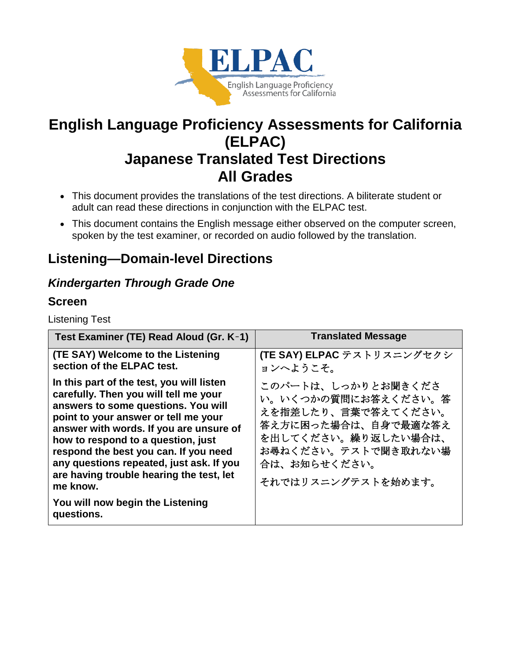

# **English Language Proficiency Assessments for California (ELPAC) Japanese Translated Test Directions All Grades**

- This document provides the translations of the test directions. A biliterate student or adult can read these directions in conjunction with the ELPAC test.
- This document contains the English message either observed on the computer screen, spoken by the test examiner, or recorded on audio followed by the translation.

# **Listening—Domain-level Directions**

## *Kindergarten Through Grade One*

## **Screen**

Listening Test

| Test Examiner (TE) Read Aloud (Gr. K-1)                                                                                                                                                                                                                                                                                                                                                                                                           | <b>Translated Message</b>                                                                                                                                                   |
|---------------------------------------------------------------------------------------------------------------------------------------------------------------------------------------------------------------------------------------------------------------------------------------------------------------------------------------------------------------------------------------------------------------------------------------------------|-----------------------------------------------------------------------------------------------------------------------------------------------------------------------------|
| (TE SAY) Welcome to the Listening<br>section of the ELPAC test.                                                                                                                                                                                                                                                                                                                                                                                   | (TE SAY) ELPAC テストリスニングセクシ<br>ョンへようこそ。                                                                                                                                      |
| In this part of the test, you will listen<br>carefully. Then you will tell me your<br>answers to some questions. You will<br>point to your answer or tell me your<br>answer with words. If you are unsure of<br>how to respond to a question, just<br>respond the best you can. If you need<br>any questions repeated, just ask. If you<br>are having trouble hearing the test, let<br>me know.<br>You will now begin the Listening<br>questions. | このパートは、しっかりとお聞きくださ<br>い。いくつかの質問にお答えください。答<br>えを指差したり、言葉で答えてください。<br>答え方に困った場合は、自身で最適な答え<br>を出してください。繰り返したい場合は、<br>お尋ねください。テストで聞き取れない場<br>合は、お知らせください。<br>それではリスニングテストを始めます。 |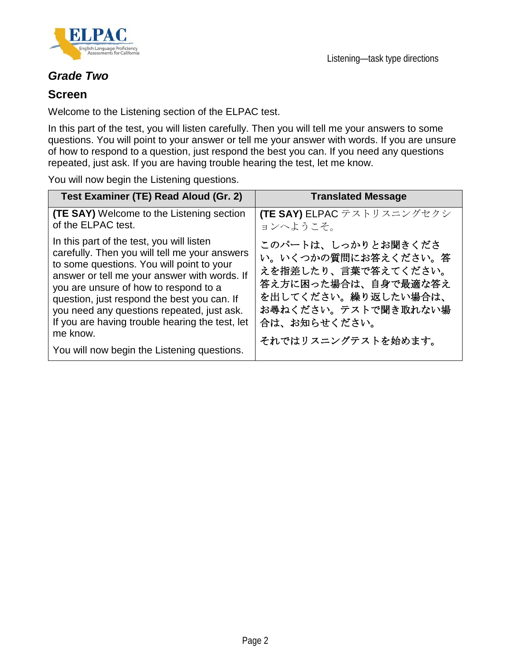



## *Grade Two*

### **Screen**

Welcome to the Listening section of the ELPAC test.

In this part of the test, you will listen carefully. Then you will tell me your answers to some questions. You will point to your answer or tell me your answer with words. If you are unsure of how to respond to a question, just respond the best you can. If you need any questions repeated, just ask. If you are having trouble hearing the test, let me know.

You will now begin the Listening questions.

| Test Examiner (TE) Read Aloud (Gr. 2)                                                                                                                                                                                                                                                                                                                                                                                                       | <b>Translated Message</b>                                                                                                                                                   |
|---------------------------------------------------------------------------------------------------------------------------------------------------------------------------------------------------------------------------------------------------------------------------------------------------------------------------------------------------------------------------------------------------------------------------------------------|-----------------------------------------------------------------------------------------------------------------------------------------------------------------------------|
| <b>(TE SAY)</b> Welcome to the Listening section<br>of the ELPAC test.                                                                                                                                                                                                                                                                                                                                                                      | (TE SAY) ELPAC テストリスニングセクシ<br>ョンへようこそ。                                                                                                                                      |
| In this part of the test, you will listen<br>carefully. Then you will tell me your answers<br>to some questions. You will point to your<br>answer or tell me your answer with words. If<br>you are unsure of how to respond to a<br>question, just respond the best you can. If<br>you need any questions repeated, just ask.<br>If you are having trouble hearing the test, let<br>me know.<br>You will now begin the Listening questions. | このパートは、しっかりとお聞きくださ<br>い。いくつかの質問にお答えください。答<br>えを指差したり、言葉で答えてください。<br>答え方に困った場合は、自身で最適な答え<br>を出してください。繰り返したい場合は、<br>お尋ねください。テストで聞き取れない場<br>合は、お知らせください。<br>それではリスニングテストを始めます。 |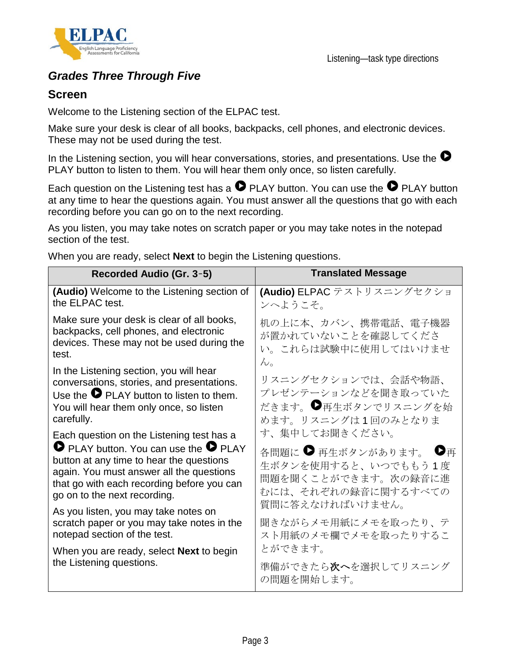

## *Grades Three Through Five*

## **Screen**

Welcome to the Listening section of the ELPAC test.

Make sure your desk is clear of all books, backpacks, cell phones, and electronic devices. These may not be used during the test.

In the Listening section, you will hear conversations, stories, and presentations. Use the  $\bullet$ PLAY button to listen to them. You will hear them only once, so listen carefully.

Each question on the Listening test has a  $\bullet$  PLAY button. You can use the  $\bullet$  PLAY button at any time to hear the questions again. You must answer all the questions that go with each recording before you can go on to the next recording.

As you listen, you may take notes on scratch paper or you may take notes in the notepad section of the test.

When you are ready, select **Next** to begin the Listening questions.

| Recorded Audio (Gr. 3-5)                                                                                                                                                                                                                                                 | <b>Translated Message</b>                                                                                                       |
|--------------------------------------------------------------------------------------------------------------------------------------------------------------------------------------------------------------------------------------------------------------------------|---------------------------------------------------------------------------------------------------------------------------------|
| (Audio) Welcome to the Listening section of<br>the ELPAC test.                                                                                                                                                                                                           | (Audio) ELPAC テストリスニングセクショ<br>ンへようこそ。                                                                                           |
| Make sure your desk is clear of all books,<br>backpacks, cell phones, and electronic<br>devices. These may not be used during the<br>test.                                                                                                                               | 机の上に本、カバン、携帯電話、電子機器<br>が置かれていないことを確認してくださ<br>い。これらは試験中に使用してはいけませ<br>$\mathcal{W}_{\alpha}$                                      |
| In the Listening section, you will hear<br>conversations, stories, and presentations.<br>Use the $\bullet$ PLAY button to listen to them.<br>You will hear them only once, so listen<br>carefully.                                                                       | リスニングセクションでは、会話や物語、<br>プレゼンテーションなどを聞き取っていた<br>だきます。●再生ボタンでリスニングを始<br>めます。リスニングは1回のみとなりま                                         |
| Each question on the Listening test has a<br>$\bullet$ PLAY button. You can use the $\bullet$ PLAY<br>button at any time to hear the questions<br>again. You must answer all the questions<br>that go with each recording before you can<br>go on to the next recording. | す、集中してお聞きください。<br>各問題に ● 再生ボタンがあります。 ●再<br>生ボタンを使用すると、いつでももう1度<br>問題を聞くことができます。次の録音に進<br>むには、それぞれの録音に関するすべての<br>質問に答えなければいけません。 |
| As you listen, you may take notes on<br>scratch paper or you may take notes in the<br>notepad section of the test.                                                                                                                                                       | 聞きながらメモ用紙にメモを取ったり、テ<br>スト用紙のメモ欄でメモを取ったりするこ                                                                                      |
| When you are ready, select <b>Next</b> to begin<br>the Listening questions.                                                                                                                                                                                              | とができます。<br>準備ができたら <b>次へ</b> を選択してリスニング<br>の問題を開始します。                                                                           |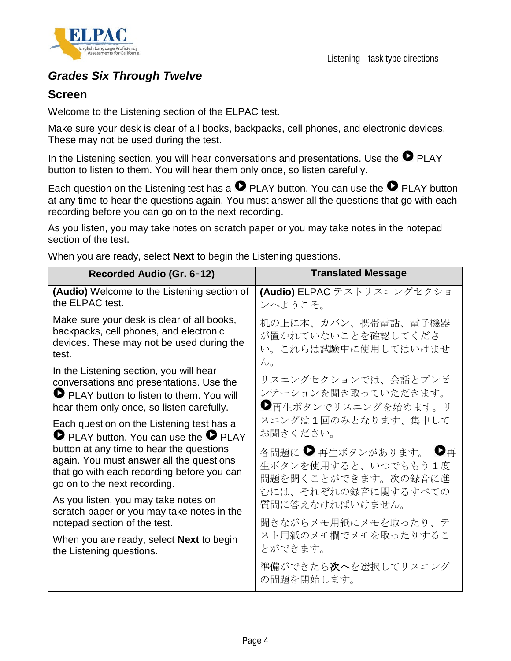

## *Grades Six Through Twelve*

## **Screen**

Welcome to the Listening section of the ELPAC test.

Make sure your desk is clear of all books, backpacks, cell phones, and electronic devices. These may not be used during the test.

In the Listening section, you will hear conversations and presentations. Use the  $\bullet$  PLAY button to listen to them. You will hear them only once, so listen carefully.

Each question on the Listening test has a  $\bullet$  PLAY button. You can use the  $\bullet$  PLAY button at any time to hear the questions again. You must answer all the questions that go with each recording before you can go on to the next recording.

As you listen, you may take notes on scratch paper or you may take notes in the notepad section of the test.

| Recorded Audio (Gr. 6-12)                                                                                                                                                   | <b>Translated Message</b>                                         |
|-----------------------------------------------------------------------------------------------------------------------------------------------------------------------------|-------------------------------------------------------------------|
| (Audio) Welcome to the Listening section of                                                                                                                                 | (Audio) ELPAC テストリスニングセクショ                                        |
| the ELPAC test.                                                                                                                                                             | ンへようこそ。                                                           |
| Make sure your desk is clear of all books,                                                                                                                                  | 机の上に本、カバン、携帯電話、電子機器                                               |
| backpacks, cell phones, and electronic                                                                                                                                      | が置かれていないことを確認してくださ                                                |
| devices. These may not be used during the                                                                                                                                   | い。これらは試験中に使用してはいけませ                                               |
| test.                                                                                                                                                                       | $\mathcal{h}_{\alpha}$                                            |
| In the Listening section, you will hear<br>conversations and presentations. Use the<br>PLAY button to listen to them. You will<br>hear them only once, so listen carefully. | リスニングセクションでは、会話とプレゼ<br>ンテーションを聞き取っていただきます。<br>●再生ボタンでリスニングを始めます。リ |
| Each question on the Listening test has a                                                                                                                                   | スニングは1回のみとなります、集中して                                               |
| <b>O</b> PLAY button. You can use the <b>O</b> PLAY                                                                                                                         | お聞きください。                                                          |
| button at any time to hear the questions                                                                                                                                    | 各問題に ● 再生ボタンがあります。 ●再                                             |
| again. You must answer all the questions                                                                                                                                    | 生ボタンを使用すると、いつでももう1度                                               |
| that go with each recording before you can                                                                                                                                  | 問題を聞くことができます。次の録音に進                                               |
| go on to the next recording.                                                                                                                                                | むには、それぞれの録音に関するすべての                                               |
| As you listen, you may take notes on                                                                                                                                        | 質問に答えなければいけません。                                                   |
| scratch paper or you may take notes in the                                                                                                                                  | 聞きながらメモ用紙にメモを取ったり、テ                                               |
| notepad section of the test.<br>When you are ready, select <b>Next</b> to begin<br>the Listening questions.                                                                 | スト用紙のメモ欄でメモを取ったりするこ<br>とができます。                                    |
|                                                                                                                                                                             | 準備ができたら <b>次へ</b> を選択してリスニング<br>の問題を開始します。                        |

When you are ready, select **Next** to begin the Listening questions.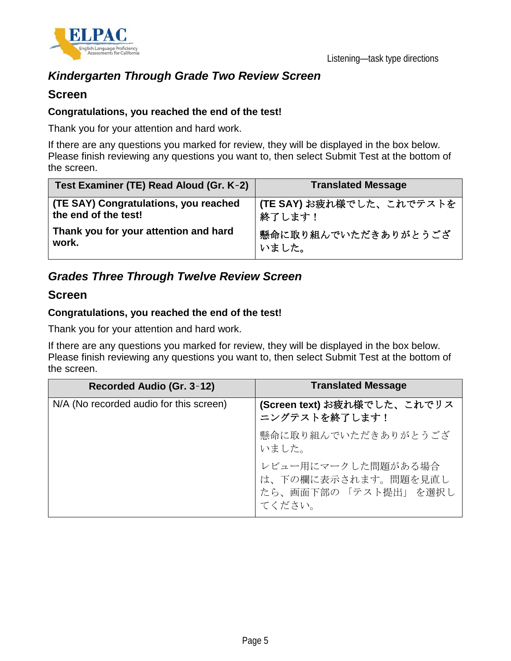

## *Kindergarten Through Grade Two Review Screen*

## **Screen**

#### **Congratulations, you reached the end of the test!**

Thank you for your attention and hard work.

If there are any questions you marked for review, they will be displayed in the box below. Please finish reviewing any questions you want to, then select Submit Test at the bottom of the screen.

| Test Examiner (TE) Read Aloud (Gr. K-2) | <b>Translated Message</b> |
|-----------------------------------------|---------------------------|
| (TE SAY) Congratulations, you reached   | (TE SAY) お疲れ様でした、これでテストを  |
| the end of the test!                    | 終了します!                    |
| Thank you for your attention and hard   | 懸命に取り組んでいただきありがとうござ       |
| work.                                   | いました。                     |

## *Grades Three Through Twelve Review Screen*

### **Screen**

#### **Congratulations, you reached the end of the test!**

Thank you for your attention and hard work.

If there are any questions you marked for review, they will be displayed in the box below. Please finish reviewing any questions you want to, then select Submit Test at the bottom of the screen.

| Recorded Audio (Gr. 3-12)               | <b>Translated Message</b>                                                  |
|-----------------------------------------|----------------------------------------------------------------------------|
| N/A (No recorded audio for this screen) | (Screen text) お疲れ様でした、これでリス<br>ニングテストを終了します!                               |
|                                         | 懸命に取り組んでいただきありがとうござ<br>いました。                                               |
|                                         | レビュー用にマークした問題がある場合<br>は、下の欄に表示されます。問題を見直し<br>たら、画面下部の「テスト提出」を選択し<br>てください。 |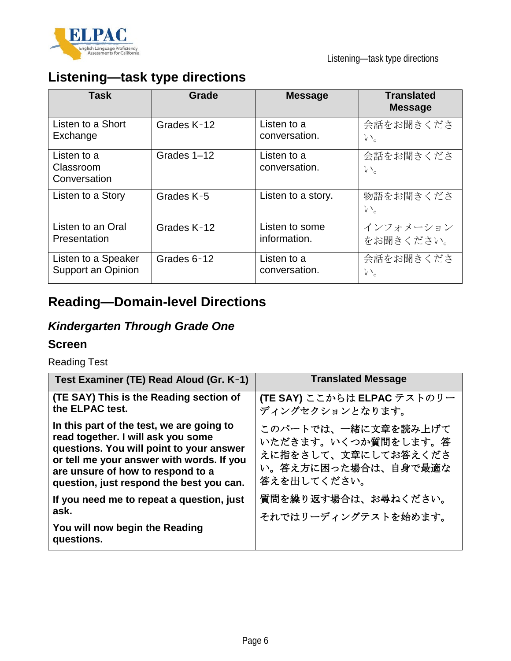

# **Listening—task type directions**

| <b>Task</b>                              | Grade       | <b>Message</b>               | <b>Translated</b><br><b>Message</b> |
|------------------------------------------|-------------|------------------------------|-------------------------------------|
| Listen to a Short                        | Grades K-12 | Listen to a                  | 会話をお聞きくださ                           |
| Exchange                                 |             | conversation.                | $V_{0}$                             |
| Listen to a<br>Classroom<br>Conversation | Grades 1-12 | Listen to a<br>conversation. | 会話をお聞きくださ<br>$V_{0}$                |
| Listen to a Story                        | Grades K-5  | Listen to a story.           | 物語をお聞きくださ<br>$V_{0}$                |
| Listen to an Oral                        | Grades K-12 | Listen to some               | インフォメーション                           |
| Presentation                             |             | information.                 | をお聞きください。                           |
| Listen to a Speaker                      | Grades 6-12 | Listen to a                  | 会話をお聞きくださ                           |
| Support an Opinion                       |             | conversation.                | $V_{0}$                             |

# **Reading—Domain-level Directions**

# *Kindergarten Through Grade One*

### **Screen**

Reading Test

| Test Examiner (TE) Read Aloud (Gr. K-1)                                                                                                                                                                                                                   | <b>Translated Message</b>                                                                               |
|-----------------------------------------------------------------------------------------------------------------------------------------------------------------------------------------------------------------------------------------------------------|---------------------------------------------------------------------------------------------------------|
| (TE SAY) This is the Reading section of<br>the ELPAC test.                                                                                                                                                                                                | (TE SAY) ここからは ELPAC テストのリー<br>ディングセクションとなります。                                                          |
| In this part of the test, we are going to<br>read together. I will ask you some<br>questions. You will point to your answer<br>or tell me your answer with words. If you<br>are unsure of how to respond to a<br>question, just respond the best you can. | このパートでは、一緒に文章を読み上げて<br>いただきます。いくつか質問をします。答<br>えに指をさして、文章にしてお答えくださ<br>い。答え方に困った場合は、自身で最適な<br>答えを出してください。 |
| If you need me to repeat a question, just<br>ask.                                                                                                                                                                                                         | 質問を繰り返す場合は、お尋ねください。<br>それではリーディングテストを始めます。                                                              |
| You will now begin the Reading<br>questions.                                                                                                                                                                                                              |                                                                                                         |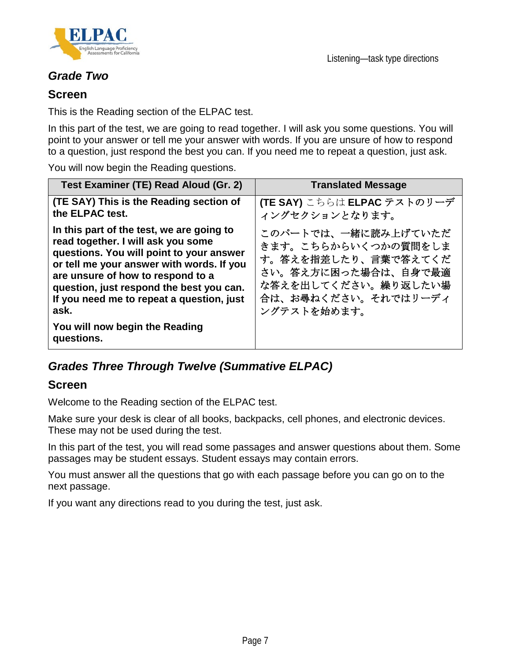

## *Grade Two*

## **Screen**

This is the Reading section of the ELPAC test.

In this part of the test, we are going to read together. I will ask you some questions. You will point to your answer or tell me your answer with words. If you are unsure of how to respond to a question, just respond the best you can. If you need me to repeat a question, just ask.

You will now begin the Reading questions.

| Test Examiner (TE) Read Aloud (Gr. 2)                                                                                                                                                                                                                                                                          | <b>Translated Message</b>                                                                                                                             |
|----------------------------------------------------------------------------------------------------------------------------------------------------------------------------------------------------------------------------------------------------------------------------------------------------------------|-------------------------------------------------------------------------------------------------------------------------------------------------------|
| (TE SAY) This is the Reading section of<br>the ELPAC test.                                                                                                                                                                                                                                                     | (TE SAY) こちらは ELPAC テストのリーデ<br>ィングセクションとなります。                                                                                                         |
| In this part of the test, we are going to<br>read together. I will ask you some<br>questions. You will point to your answer<br>or tell me your answer with words. If you<br>are unsure of how to respond to a<br>question, just respond the best you can.<br>If you need me to repeat a question, just<br>ask. | このパートでは、一緒に読み上げていただ<br>きます。こちらからいくつかの質問をしま<br>す。答えを指差したり、言葉で答えてくだ<br>さい。答え方に困った場合は、自身で最適<br>な答えを出してください。繰り返したい場<br>合は、お尋ねください。それではリーディ<br>ングテストを始めます。 |
| You will now begin the Reading<br>questions.                                                                                                                                                                                                                                                                   |                                                                                                                                                       |

## *Grades Three Through Twelve (Summative ELPAC)*

## **Screen**

Welcome to the Reading section of the ELPAC test.

Make sure your desk is clear of all books, backpacks, cell phones, and electronic devices. These may not be used during the test.

In this part of the test, you will read some passages and answer questions about them. Some passages may be student essays. Student essays may contain errors.

You must answer all the questions that go with each passage before you can go on to the next passage.

If you want any directions read to you during the test, just ask.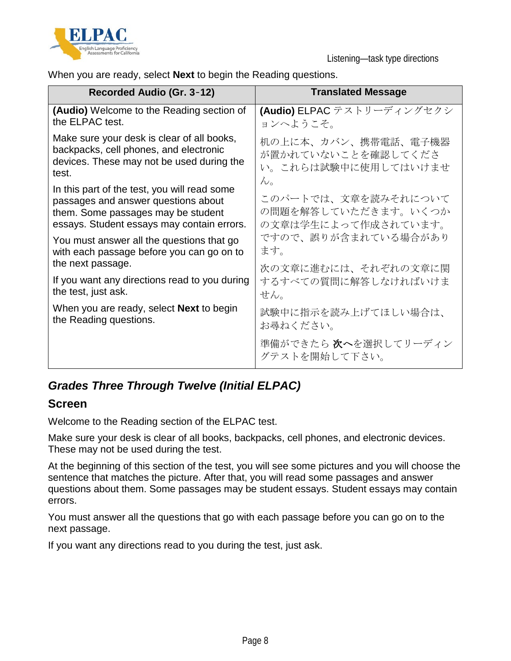

When you are ready, select **Next** to begin the Reading questions.

| Recorded Audio (Gr. 3-12)                                                                                                                                               | <b>Translated Message</b>                                         |
|-------------------------------------------------------------------------------------------------------------------------------------------------------------------------|-------------------------------------------------------------------|
| (Audio) Welcome to the Reading section of                                                                                                                               | (Audio) ELPAC テストリーディングセクシ                                        |
| the ELPAC test.                                                                                                                                                         | ョンへようこそ。                                                          |
| Make sure your desk is clear of all books,                                                                                                                              | 机の上に本、カバン、携帯電話、電子機器                                               |
| backpacks, cell phones, and electronic                                                                                                                                  | が置かれていないことを確認してくださ                                                |
| devices. These may not be used during the                                                                                                                               | い。これらは試験中に使用してはいけませ                                               |
| test.                                                                                                                                                                   | $\mathcal{W}_0$                                                   |
| In this part of the test, you will read some<br>passages and answer questions about<br>them. Some passages may be student<br>essays. Student essays may contain errors. | このパートでは、文章を読みそれについて<br>の問題を解答していただきます。いくつか<br>の文章は学生によって作成されています。 |
| You must answer all the questions that go                                                                                                                               | ですので、誤りが含まれている場合があり                                               |
| with each passage before you can go on to                                                                                                                               | ます。                                                               |
| the next passage.                                                                                                                                                       | 次の文章に進むには、それぞれの文章に関                                               |
| If you want any directions read to you during                                                                                                                           | するすべての質問に解答しなければいけま                                               |
| the test, just ask.                                                                                                                                                     | せん。                                                               |
| When you are ready, select <b>Next</b> to begin                                                                                                                         | 試験中に指示を読み上げてほしい場合は、                                               |
| the Reading questions.                                                                                                                                                  | お尋ねください。                                                          |
|                                                                                                                                                                         | 準備ができたら 次へを選択してリーディン<br>グテストを開始して下さい。                             |

## *Grades Three Through Twelve (Initial ELPAC)*

## **Screen**

Welcome to the Reading section of the ELPAC test.

Make sure your desk is clear of all books, backpacks, cell phones, and electronic devices. These may not be used during the test.

At the beginning of this section of the test, you will see some pictures and you will choose the sentence that matches the picture. After that, you will read some passages and answer questions about them. Some passages may be student essays. Student essays may contain errors.

You must answer all the questions that go with each passage before you can go on to the next passage.

If you want any directions read to you during the test, just ask.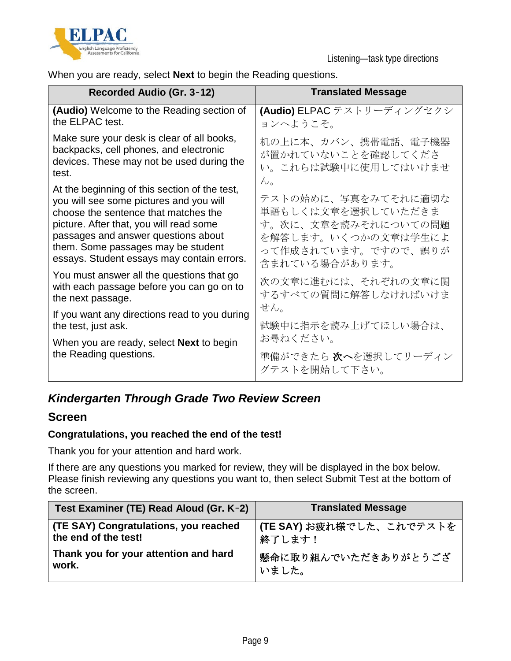

When you are ready, select **Next** to begin the Reading questions.

| Recorded Audio (Gr. 3-12)                                                                                                                                                                                                                                                                              | <b>Translated Message</b>                                                                                                        |
|--------------------------------------------------------------------------------------------------------------------------------------------------------------------------------------------------------------------------------------------------------------------------------------------------------|----------------------------------------------------------------------------------------------------------------------------------|
| (Audio) Welcome to the Reading section of<br>the ELPAC test.                                                                                                                                                                                                                                           | (Audio) ELPAC テストリーディングセクシ<br>ョンへようこそ。                                                                                           |
| Make sure your desk is clear of all books,<br>backpacks, cell phones, and electronic<br>devices. These may not be used during the<br>test.                                                                                                                                                             | 机の上に本、カバン、携帯電話、電子機器<br>が置かれていないことを確認してくださ<br>い。これらは試験中に使用してはいけませ<br>$\mathcal{W}_{\alpha}$                                       |
| At the beginning of this section of the test,<br>you will see some pictures and you will<br>choose the sentence that matches the<br>picture. After that, you will read some<br>passages and answer questions about<br>them. Some passages may be student<br>essays. Student essays may contain errors. | テストの始めに、写真をみてそれに適切な<br>単語もしくは文章を選択していただきま<br>す。次に、文章を読みそれについての問題<br>を解答します。いくつかの文章は学生によ<br>って作成されています。ですので、誤りが<br>含まれている場合があります。 |
| You must answer all the questions that go<br>with each passage before you can go on to<br>the next passage.                                                                                                                                                                                            | 次の文章に進むには、それぞれの文章に関<br>するすべての質問に解答しなければいけま<br>せん。                                                                                |
| If you want any directions read to you during<br>the test, just ask.                                                                                                                                                                                                                                   | 試験中に指示を読み上げてほしい場合は、                                                                                                              |
| When you are ready, select <b>Next</b> to begin<br>the Reading questions.                                                                                                                                                                                                                              | お尋ねください。<br>準備ができたら <b>次へ</b> を選択してリーディン<br>グテストを開始して下さい。                                                                        |

## *Kindergarten Through Grade Two Review Screen*

## **Screen**

### **Congratulations, you reached the end of the test!**

Thank you for your attention and hard work.

If there are any questions you marked for review, they will be displayed in the box below. Please finish reviewing any questions you want to, then select Submit Test at the bottom of the screen.

| Test Examiner (TE) Read Aloud (Gr. K-2) | <b>Translated Message</b> |
|-----------------------------------------|---------------------------|
| (TE SAY) Congratulations, you reached   | (TE SAY) お疲れ様でした、これでテストを  |
| the end of the test!                    | 終了します!                    |
| Thank you for your attention and hard   | 懸命に取り組んでいただきありがとうござ       |
| work.                                   | いました。                     |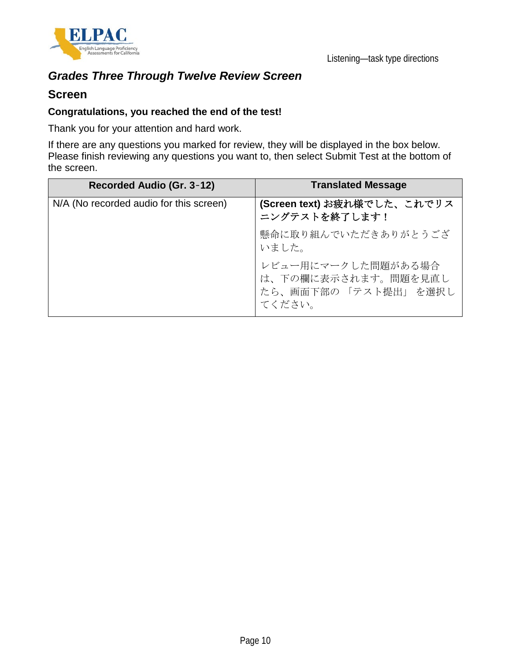

# *Grades Three Through Twelve Review Screen*

### **Screen**

#### **Congratulations, you reached the end of the test!**

Thank you for your attention and hard work.

If there are any questions you marked for review, they will be displayed in the box below. Please finish reviewing any questions you want to, then select Submit Test at the bottom of the screen.

| Recorded Audio (Gr. 3-12)               | <b>Translated Message</b>                                                  |
|-----------------------------------------|----------------------------------------------------------------------------|
| N/A (No recorded audio for this screen) | (Screen text) お疲れ様でした、これでリス<br>ニングテストを終了します!                               |
|                                         | 懸命に取り組んでいただきありがとうござ<br>いました。                                               |
|                                         | レビュー用にマークした問題がある場合<br>は、下の欄に表示されます。問題を見直し<br>たら、画面下部の「テスト提出」を選択し<br>てください。 |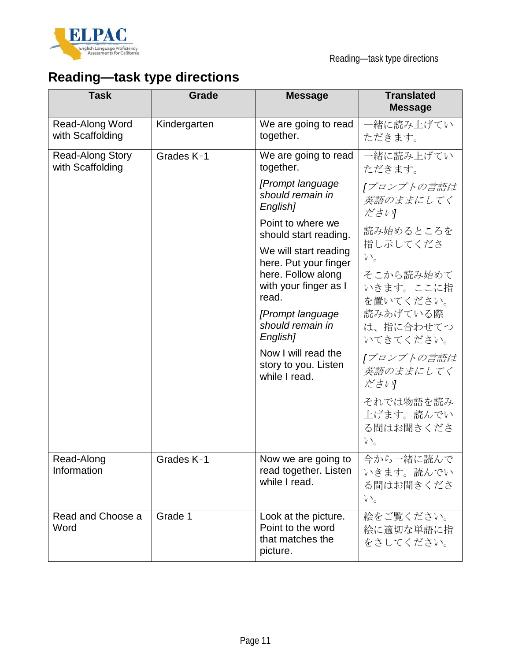

# **Reading—task type directions**

| <b>Task</b>                                 | Grade        | <b>Message</b>                                                            | <b>Translated</b><br><b>Message</b>            |
|---------------------------------------------|--------------|---------------------------------------------------------------------------|------------------------------------------------|
| Read-Along Word<br>with Scaffolding         | Kindergarten | We are going to read<br>together.                                         | 一緒に読み上げてい<br>ただきます。                            |
| <b>Read-Along Story</b><br>with Scaffolding | Grades K-1   | We are going to read<br>together.                                         | 一緒に読み上げてい<br>ただきます。                            |
|                                             |              | [Prompt language<br>should remain in<br>English]                          | 「プロンプトの言語は<br>英語のままにしてく<br>ださい                 |
|                                             |              | Point to where we<br>should start reading.                                | 読み始めるところを                                      |
|                                             |              | We will start reading<br>here. Put your finger                            | 指し示してくださ<br>$V_{0}$                            |
|                                             |              | here. Follow along<br>with your finger as I<br>read.                      | そこから読み始めて<br>いきます。ここに指<br>を置いてください。            |
|                                             |              | [Prompt language<br>should remain in<br>English]                          | 読みあげている際<br>は、指に合わせてつ<br>いてきてください。             |
|                                             |              | Now I will read the<br>story to you. Listen<br>while I read.              | 「プロンプトの言語は<br>英語のままにしてく<br>ださい                 |
|                                             |              |                                                                           | それでは物語を読み<br>上げます。読んでい<br>る間はお聞きくださ<br>$V_{o}$ |
| Read-Along<br>Information                   | Grades K-1   | Now we are going to<br>read together. Listen<br>while I read.             | 今から一緒に読んで<br>いきます。読んでい<br>る間はお聞きくださ<br>$V_{0}$ |
| Read and Choose a<br>Word                   | Grade 1      | Look at the picture.<br>Point to the word<br>that matches the<br>picture. | 絵をご覧ください。<br>絵に適切な単語に指<br>をさしてください。            |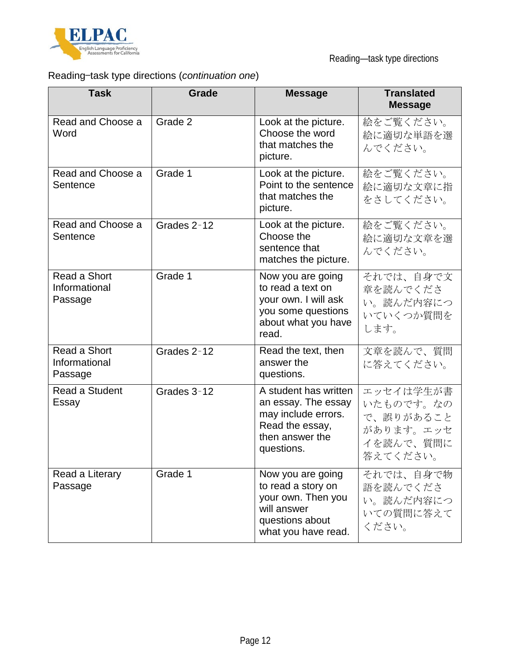

# Reading—task type directions (*continuation one*)

| <b>Task</b>                              | <b>Grade</b> | <b>Message</b>                                                                                                          | <b>Translated</b><br><b>Message</b>                                       |
|------------------------------------------|--------------|-------------------------------------------------------------------------------------------------------------------------|---------------------------------------------------------------------------|
| Read and Choose a<br>Word                | Grade 2      | Look at the picture.<br>Choose the word<br>that matches the<br>picture.                                                 | 絵をご覧ください。<br>絵に適切な単語を選<br>んでください。                                         |
| Read and Choose a<br>Sentence            | Grade 1      | Look at the picture.<br>Point to the sentence<br>that matches the<br>picture.                                           | 絵をご覧ください。<br>絵に適切な文章に指<br>をさしてください。                                       |
| Read and Choose a<br>Sentence            | Grades 2-12  | Look at the picture.<br>Choose the<br>sentence that<br>matches the picture.                                             | 絵をご覧ください。<br>絵に適切な文章を選<br>んでください。                                         |
| Read a Short<br>Informational<br>Passage | Grade 1      | Now you are going<br>to read a text on<br>your own. I will ask<br>you some questions<br>about what you have<br>read.    | それでは、自身で文<br>章を読んでくださ<br>い。読んだ内容につ<br>いていくつか質問を<br>します。                   |
| Read a Short<br>Informational<br>Passage | Grades 2-12  | Read the text, then<br>answer the<br>questions.                                                                         | 文章を読んで、質問<br>に答えてください。                                                    |
| Read a Student<br>Essay                  | Grades 3-12  | A student has written<br>an essay. The essay<br>may include errors.<br>Read the essay,<br>then answer the<br>questions. | エッセイは学生が書<br>いたものです。なの<br>で、誤りがあること<br>があります。エッセ<br>イを読んで、質問に<br>答えてください。 |
| Read a Literary<br>Passage               | Grade 1      | Now you are going<br>to read a story on<br>your own. Then you<br>will answer<br>questions about<br>what you have read.  | それでは、自身で物<br>語を読んでくださ<br>い。読んだ内容につ<br>いての質問に答えて<br>ください。                  |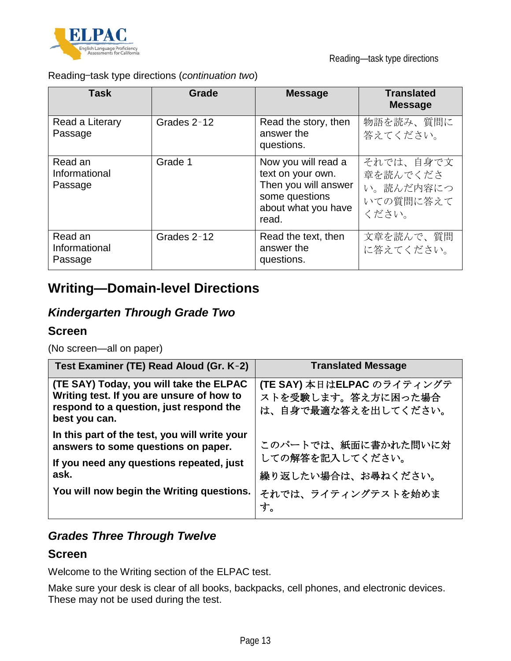

Reading—task type directions (*continuation two*)

| Task                                | Grade       | <b>Message</b>                                                                                                     | <b>Translated</b><br><b>Message</b>                      |
|-------------------------------------|-------------|--------------------------------------------------------------------------------------------------------------------|----------------------------------------------------------|
| Read a Literary<br>Passage          | Grades 2-12 | Read the story, then<br>answer the<br>questions.                                                                   | 物語を読み、質問に<br>答えてください。                                    |
| Read an<br>Informational<br>Passage | Grade 1     | Now you will read a<br>text on your own.<br>Then you will answer<br>some questions<br>about what you have<br>read. | それでは、自身で文<br>章を読んでくださ<br>い。読んだ内容につ<br>いての質問に答えて<br>ください。 |
| Read an<br>Informational<br>Passage | Grades 2-12 | Read the text, then<br>answer the<br>questions.                                                                    | 文章を読んで、質問<br>に答えてください。                                   |

# **Writing—Domain-level Directions**

## *Kindergarten Through Grade Two*

## **Screen**

(No screen—all on paper)

| Test Examiner (TE) Read Aloud (Gr. K-2)                                                                                                          | <b>Translated Message</b>                                               |
|--------------------------------------------------------------------------------------------------------------------------------------------------|-------------------------------------------------------------------------|
| (TE SAY) Today, you will take the ELPAC<br>Writing test. If you are unsure of how to<br>respond to a question, just respond the<br>best you can. | (TE SAY) 本日はELPAC のライティングテ<br>ストを受験します。答え方に困った場合<br>は、自身で最適な答えを出してください。 |
| In this part of the test, you will write your<br>answers to some questions on paper.                                                             | このパートでは、紙面に書かれた問いに対                                                     |
| If you need any questions repeated, just<br>ask.                                                                                                 | しての解答を記入してください。<br>繰り返したい場合は、お尋ねください。                                   |
| You will now begin the Writing questions.                                                                                                        | それでは、ライティングテストを始めま<br>す。                                                |

## *Grades Three Through Twelve*

## **Screen**

Welcome to the Writing section of the ELPAC test.

Make sure your desk is clear of all books, backpacks, cell phones, and electronic devices. These may not be used during the test.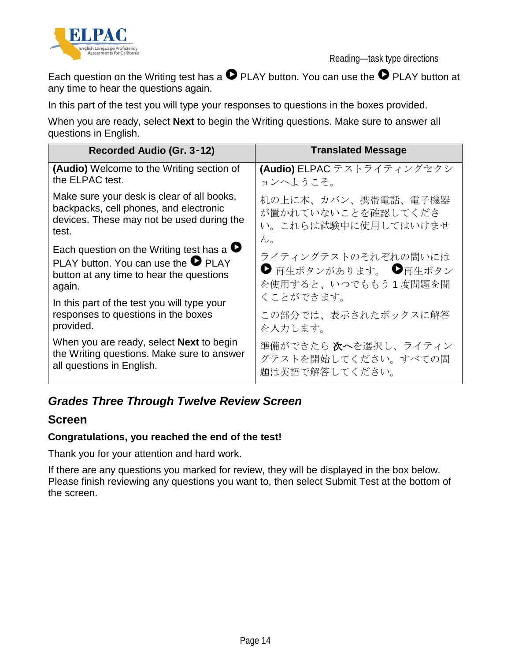

Reading—task type directions

Each question on the Writing test has a  $\bullet$  PLAY button. You can use the  $\bullet$  PLAY button at any time to hear the questions again.

In this part of the test you will type your responses to questions in the boxes provided.

When you are ready, select **Next** to begin the Writing questions. Make sure to answer all questions in English.

| Recorded Audio (Gr. 3-12)                                                                                                                              | <b>Translated Message</b>                                          |
|--------------------------------------------------------------------------------------------------------------------------------------------------------|--------------------------------------------------------------------|
| <b>(Audio)</b> Welcome to the Writing section of                                                                                                       | (Audio) ELPAC テストライティングセクシ                                         |
| the ELPAC test.                                                                                                                                        | ョンへようこそ。                                                           |
| Make sure your desk is clear of all books,                                                                                                             | 机の上に本、カバン、携帯電話、電子機器                                                |
| backpacks, cell phones, and electronic                                                                                                                 | が置かれていないことを確認してくださ                                                 |
| devices. These may not be used during the                                                                                                              | い。これらは試験中に使用してはいけませ                                                |
| test.                                                                                                                                                  | $\mathcal{W}_\mathrm{o}$                                           |
| Each question on the Writing test has a $\bullet$<br>PLAY button. You can use the $\bullet$ PLAY<br>button at any time to hear the questions<br>again. | ライティングテストのそれぞれの問いには<br>● 再生ボタンがあります。 ●再生ボタン<br>を使用すると、いつでももう1度問題を聞 |
| In this part of the test you will type your                                                                                                            | くことができます。                                                          |
| responses to questions in the boxes                                                                                                                    | この部分では、表示されたボックスに解答                                                |
| provided.                                                                                                                                              | を入力します。                                                            |
| When you are ready, select <b>Next</b> to begin                                                                                                        | 準備ができたら 次へを選択し、ライティン                                               |
| the Writing questions. Make sure to answer                                                                                                             | グテストを開始してください。すべての問                                                |
| all questions in English.                                                                                                                              | 題は英語で解答してください。                                                     |

## *Grades Three Through Twelve Review Screen*

## **Screen**

### **Congratulations, you reached the end of the test!**

Thank you for your attention and hard work.

If there are any questions you marked for review, they will be displayed in the box below. Please finish reviewing any questions you want to, then select Submit Test at the bottom of the screen.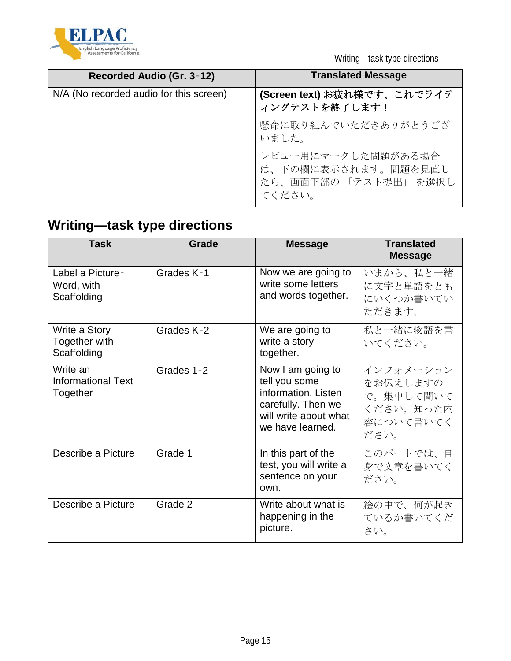

Writing—task type directions

| Recorded Audio (Gr. 3-12)               | <b>Translated Message</b>                                                  |
|-----------------------------------------|----------------------------------------------------------------------------|
| N/A (No recorded audio for this screen) | (Screen text) お疲れ様です、これでライテ<br>ィングテストを終了します!                               |
|                                         | 懸命に取り組んでいただきありがとうござ<br>いました。                                               |
|                                         | レビュー用にマークした問題がある場合<br>は、下の欄に表示されます。問題を見直し<br>たら、画面下部の「テスト提出」を選択し<br>てください。 |

# **Writing—task type directions**

| <b>Task</b>                                       | Grade      | <b>Message</b>                                                                                                               | <b>Translated</b><br><b>Message</b>                                  |
|---------------------------------------------------|------------|------------------------------------------------------------------------------------------------------------------------------|----------------------------------------------------------------------|
| Label a Picture-<br>Word, with<br>Scaffolding     | Grades K-1 | Now we are going to<br>write some letters<br>and words together.                                                             | いまから、私と一緒<br>に文字と単語をとも<br>にいくつか書いてい<br>ただきます。                        |
| Write a Story<br>Together with<br>Scaffolding     | Grades K-2 | We are going to<br>write a story<br>together.                                                                                | 私と一緒に物語を書<br>いてください。                                                 |
| Write an<br><b>Informational Text</b><br>Together | Grades 1-2 | Now I am going to<br>tell you some<br>information. Listen<br>carefully. Then we<br>will write about what<br>we have learned. | インフォメーション<br>をお伝えしますの<br>で。集中して聞いて<br>ください。知った内<br>容について書いてく<br>ださい。 |
| Describe a Picture                                | Grade 1    | In this part of the<br>test, you will write a<br>sentence on your<br>own.                                                    | このパートでは、自<br>身で文章を書いてく<br>ださい。                                       |
| Describe a Picture                                | Grade 2    | Write about what is<br>happening in the<br>picture.                                                                          | 絵の中で、何が起き<br>ているか書いてくだ<br>さい。                                        |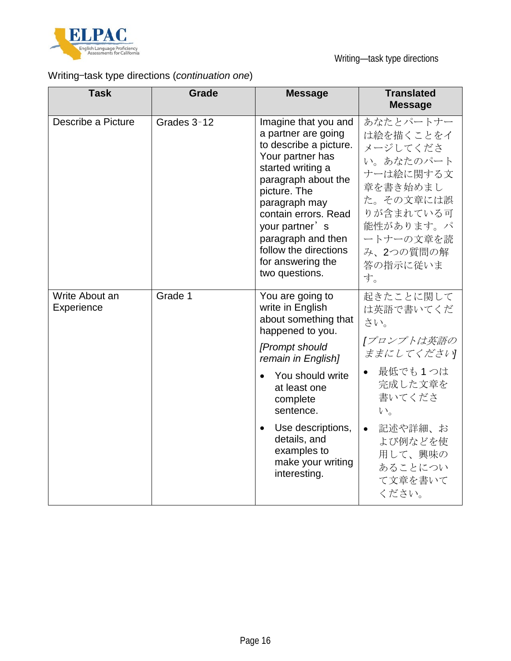

# Writing—task type directions (*continuation one*)

| <b>Task</b>                  | Grade       | <b>Message</b>                                                                                                                                                                                                                                                                                         | <b>Translated</b><br><b>Message</b>                                                                                                                                                           |
|------------------------------|-------------|--------------------------------------------------------------------------------------------------------------------------------------------------------------------------------------------------------------------------------------------------------------------------------------------------------|-----------------------------------------------------------------------------------------------------------------------------------------------------------------------------------------------|
| Describe a Picture           | Grades 3-12 | Imagine that you and<br>a partner are going<br>to describe a picture.<br>Your partner has<br>started writing a<br>paragraph about the<br>picture. The<br>paragraph may<br>contain errors. Read<br>your partner's<br>paragraph and then<br>follow the directions<br>for answering the<br>two questions. | あなたとパートナー<br>は絵を描くことをイ<br>メージしてくださ<br>い。あなたのパート<br>ナーは絵に関する文<br>章を書き始めまし<br>た。その文章には誤<br>りが含まれている可<br>能性があります。パ<br>ートナーの文章を読<br>み、2つの質問の解<br>答の指示に従いま<br>す。                                   |
| Write About an<br>Experience | Grade 1     | You are going to<br>write in English<br>about something that<br>happened to you.<br>[Prompt should<br>remain in English]<br>You should write<br>at least one<br>complete<br>sentence.<br>Use descriptions,<br>$\bullet$<br>details, and<br>examples to<br>make your writing<br>interesting.            | 起きたことに関して<br>は英語で書いてくだ<br>さい。<br>「プロンプトは英語の<br>ままにしてください<br>最低でも1つは<br>$\bullet$<br>完成した文章を<br>書いてくださ<br>$V_{0}$<br>記述や詳細、お<br>$\bullet$<br>よび例などを使<br>用して、興味の<br>あることについ<br>て文章を書いて<br>ください。 |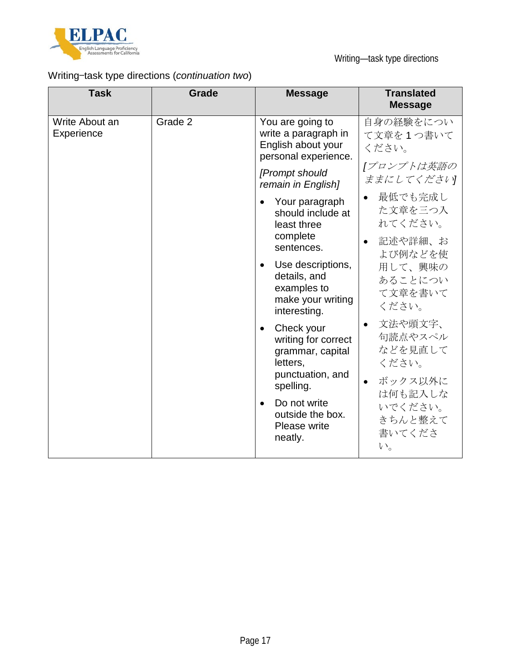

# Writing—task type directions (*continuation two*)

| <b>Task</b>                  | <b>Grade</b> | <b>Message</b>                                                                                                  | <b>Translated</b><br><b>Message</b>                                         |
|------------------------------|--------------|-----------------------------------------------------------------------------------------------------------------|-----------------------------------------------------------------------------|
| Write About an<br>Experience | Grade 2      | You are going to<br>write a paragraph in<br>English about your<br>personal experience.                          | 自身の経験をについ<br>て文章を1つ書いて<br>ください。                                             |
|                              |              | [Prompt should<br>remain in English]                                                                            | 「プロンプトは英語の<br>ままにしてください                                                     |
|                              |              | Your paragraph<br>$\bullet$<br>should include at<br>least three                                                 | 最低でも完成し<br>$\bullet$<br>た文章を三つ入<br>れてください。                                  |
|                              |              | complete<br>sentences.                                                                                          | 記述や詳細、お<br>$\bullet$<br>よび例などを使                                             |
|                              |              | Use descriptions,<br>$\bullet$<br>details, and<br>examples to<br>make your writing<br>interesting.              | 用して、興味の<br>あることについ<br>て文章を書いて<br>ください。                                      |
|                              |              | Check your<br>$\bullet$<br>writing for correct<br>grammar, capital<br>letters,<br>punctuation, and<br>spelling. | 文法や頭文字、<br>$\bullet$<br>句読点やスペル<br>などを見直して<br>ください。<br>ボックス以外に<br>$\bullet$ |
|                              |              | Do not write<br>$\bullet$<br>outside the box.<br>Please write<br>neatly.                                        | は何も記入しな<br>いでください。<br>きちんと整えて<br>書いてくださ<br>$V_{0}$                          |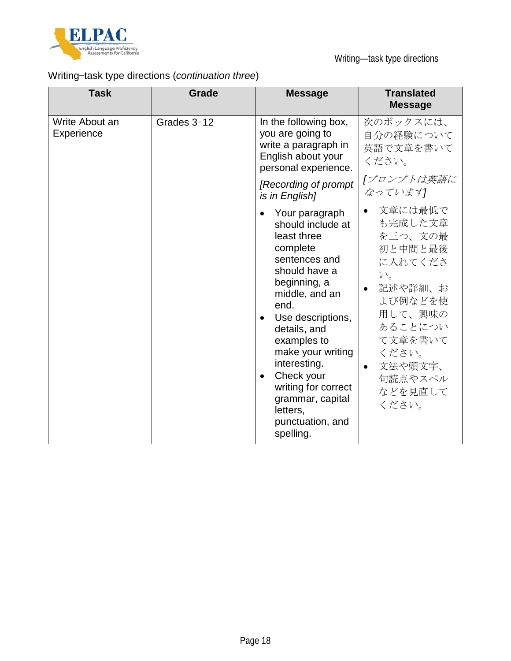

# Writing—task type directions (*continuation three*)

| <b>Task</b>                  | <b>Grade</b> | <b>Message</b>                                                                                                                                                                                                                                                                                                                                    | <b>Translated</b><br><b>Message</b>                                                                                                                                        |
|------------------------------|--------------|---------------------------------------------------------------------------------------------------------------------------------------------------------------------------------------------------------------------------------------------------------------------------------------------------------------------------------------------------|----------------------------------------------------------------------------------------------------------------------------------------------------------------------------|
| Write About an<br>Experience | Grades 3-12  | In the following box,<br>you are going to<br>write a paragraph in<br>English about your<br>personal experience.<br>[Recording of prompt                                                                                                                                                                                                           | 次のボックスには、<br>自分の経験について<br>英語で文章を書いて<br>ください。<br>[プロンプトは英語に                                                                                                                 |
|                              |              | is in English]<br>Your paragraph                                                                                                                                                                                                                                                                                                                  | なっています<br>文章には最低で                                                                                                                                                          |
|                              |              | should include at<br>least three<br>complete<br>sentences and<br>should have a<br>beginning, a<br>middle, and an<br>end.<br>Use descriptions,<br>$\bullet$<br>details, and<br>examples to<br>make your writing<br>interesting.<br>Check your<br>$\bullet$<br>writing for correct<br>grammar, capital<br>letters,<br>punctuation, and<br>spelling. | も完成した文章<br>を三つ、文の最<br>初と中間と最後<br>に入れてくださ<br>$V_{0}$<br>記述や詳細、お<br>よび例などを使<br>用して、興味の<br>あることについ<br>て文章を書いて<br>ください。<br>文法や頭文字、<br>$\bullet$<br>句読点やスペル<br>などを見直して<br>ください。 |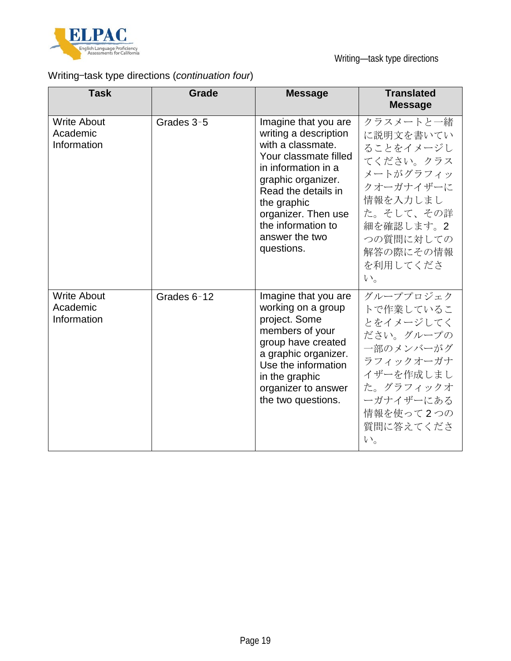

# Writing—task type directions (*continuation four*)

| <b>Task</b>                                   | Grade       | <b>Message</b>                                                                                                                                                                                                                                              | <b>Translated</b><br><b>Message</b>                                                                                                                               |
|-----------------------------------------------|-------------|-------------------------------------------------------------------------------------------------------------------------------------------------------------------------------------------------------------------------------------------------------------|-------------------------------------------------------------------------------------------------------------------------------------------------------------------|
| <b>Write About</b><br>Academic<br>Information | Grades 3-5  | Imagine that you are<br>writing a description<br>with a classmate.<br>Your classmate filled<br>in information in a<br>graphic organizer.<br>Read the details in<br>the graphic<br>organizer. Then use<br>the information to<br>answer the two<br>questions. | クラスメートと一緒<br>に説明文を書いてい<br>ることをイメージし<br>てください。クラス<br>メートがグラフィッ<br>クオーガナイザーに<br>情報を入力しまし<br>た。そして、その詳<br>細を確認します。2<br>つの質問に対しての<br>解答の際にその情報<br>を利用してくださ<br>$V_{0}$ |
| <b>Write About</b><br>Academic<br>Information | Grades 6-12 | Imagine that you are<br>working on a group<br>project. Some<br>members of your<br>group have created<br>a graphic organizer.<br>Use the information<br>in the graphic<br>organizer to answer<br>the two questions.                                          | グループプロジェク<br>トで作業しているこ<br>とをイメージしてく<br>ださい。グループの<br>一部のメンバーがグ<br>ラフィックオーガナ<br>イザーを作成しまし<br>た。グラフィックオ<br>ーガナイザーにある<br>情報を使って2つの<br>質問に答えてくださ<br>$V_{0}$            |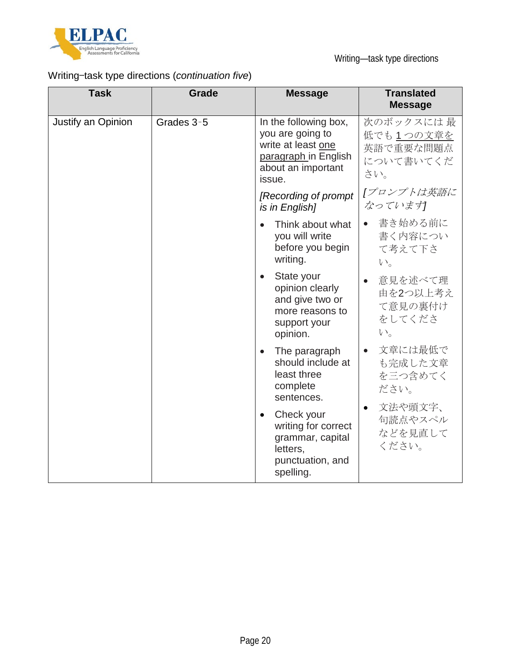

# Writing—task type directions (*continuation five*)

| <b>Task</b>        | <b>Grade</b> | <b>Message</b>                                                                                                          | <b>Translated</b><br><b>Message</b>                     |
|--------------------|--------------|-------------------------------------------------------------------------------------------------------------------------|---------------------------------------------------------|
| Justify an Opinion | Grades 3-5   | In the following box,<br>you are going to<br>write at least one<br>paragraph in English<br>about an important<br>issue. | 次のボックスには最<br>低でも1つの文章を<br>英語で重要な問題点<br>について書いてくだ<br>さい。 |
|                    |              | [Recording of prompt]<br>is in English]                                                                                 | 「プロンプトは英語に<br>なっています                                    |
|                    |              | Think about what<br>you will write<br>before you begin<br>writing.                                                      | 書き始める前に<br>書く内容につい<br>て考えて下さ<br>$V_{0}$                 |
|                    |              | State your<br>$\bullet$<br>opinion clearly<br>and give two or<br>more reasons to<br>support your<br>opinion.            | 意見を述べて理<br>由を2つ以上考え<br>て意見の裏付け<br>をしてくださ<br>$V_{0}$     |
|                    |              | The paragraph<br>$\bullet$<br>should include at<br>least three<br>complete<br>sentences.                                | 文章には最低で<br>$\bullet$<br>も完成した文章<br>を三つ含めてく<br>ださい。      |
|                    |              | Check your<br>$\bullet$<br>writing for correct<br>grammar, capital<br>letters,<br>punctuation, and<br>spelling.         | 文法や頭文字、<br>$\bullet$<br>句読点やスペル<br>などを見直して<br>ください。     |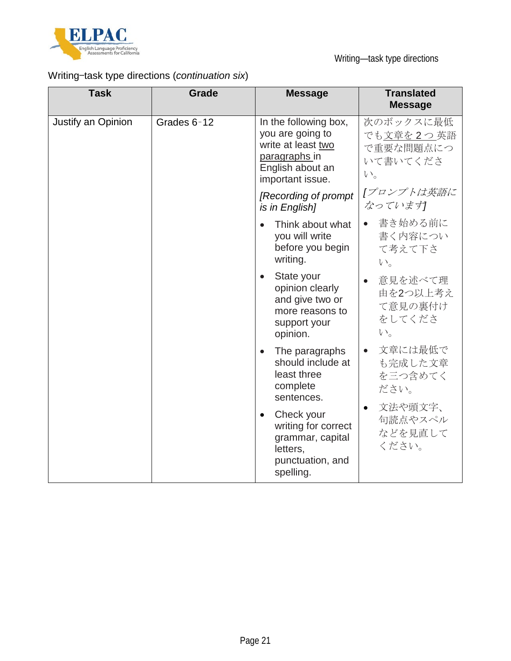

Writing—task type directions

# Writing—task type directions (*continuation six*)

| <b>Task</b>        | <b>Grade</b> | <b>Message</b>                                                                                                           | <b>Translated</b><br><b>Message</b>                        |
|--------------------|--------------|--------------------------------------------------------------------------------------------------------------------------|------------------------------------------------------------|
| Justify an Opinion | Grades 6-12  | In the following box,<br>you are going to<br>write at least two<br>paragraphs in<br>English about an<br>important issue. | 次のボックスに最低<br>でも文章を2つ英語<br>で重要な問題点につ<br>いて書いてくださ<br>$V_{0}$ |
|                    |              | [Recording of prompt]<br>is in English]                                                                                  | [プロンプトは英語に<br>なっています                                       |
|                    |              | Think about what<br>$\bullet$<br>you will write<br>before you begin<br>writing.                                          | 書き始める前に<br>書く内容につい<br>て考えて下さ<br>$V_{0}$                    |
|                    |              | State your<br>$\bullet$<br>opinion clearly<br>and give two or<br>more reasons to<br>support your<br>opinion.             | 意見を述べて理<br>由を2つ以上考え<br>て意見の裏付け<br>をしてくださ<br>$V_{0}$        |
|                    |              | The paragraphs<br>$\bullet$<br>should include at<br>least three<br>complete<br>sentences.                                | 文章には最低で<br>$\bullet$<br>も完成した文章<br>を三つ含めてく<br>ださい。         |
|                    |              | Check your<br>$\bullet$<br>writing for correct<br>grammar, capital<br>letters,<br>punctuation, and<br>spelling.          | 文法や頭文字、<br>句読点やスペル<br>などを見直して<br>ください。                     |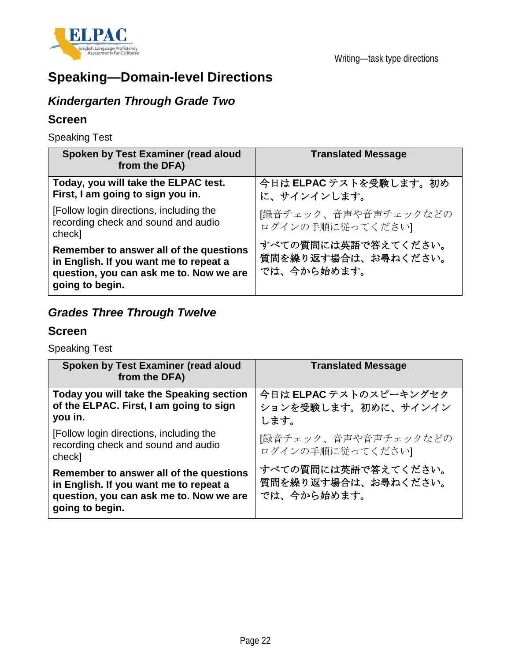

# **Speaking—Domain-level Directions**

# *Kindergarten Through Grade Two*

## **Screen**

Speaking Test

| Spoken by Test Examiner (read aloud<br>from the DFA)                                                                                            | <b>Translated Message</b>                                 |
|-------------------------------------------------------------------------------------------------------------------------------------------------|-----------------------------------------------------------|
| Today, you will take the ELPAC test.<br>First, I am going to sign you in.                                                                       | 今日は ELPAC テストを受験します。初め<br>に、サインインします。                     |
| [Follow login directions, including the<br>recording check and sound and audio<br>check]                                                        | [録音チェック、音声や音声チェックなどの<br>ログインの手順に従ってください                   |
| Remember to answer all of the questions<br>in English. If you want me to repeat a<br>question, you can ask me to. Now we are<br>going to begin. | すべての質問には英語で答えてください。<br>質問を繰り返す場合は、お尋ねください。<br>では、今から始めます。 |

# *Grades Three Through Twelve*

## **Screen**

Speaking Test

| Spoken by Test Examiner (read aloud<br>from the DFA)                                                                                            | <b>Translated Message</b>                                 |
|-------------------------------------------------------------------------------------------------------------------------------------------------|-----------------------------------------------------------|
| Today you will take the Speaking section<br>of the ELPAC. First, I am going to sign<br>you in.                                                  | 今日は ELPAC テストのスピーキングセク<br>ションを受験します。初めに、サインイン<br>します。     |
| [Follow login directions, including the<br>recording check and sound and audio<br>check]                                                        | [録音チェック、音声や音声チェックなどの<br>ログインの手順に従ってください                   |
| Remember to answer all of the questions<br>in English. If you want me to repeat a<br>question, you can ask me to. Now we are<br>going to begin. | すべての質問には英語で答えてください。<br>質問を繰り返す場合は、お尋ねください。<br>では、今から始めます。 |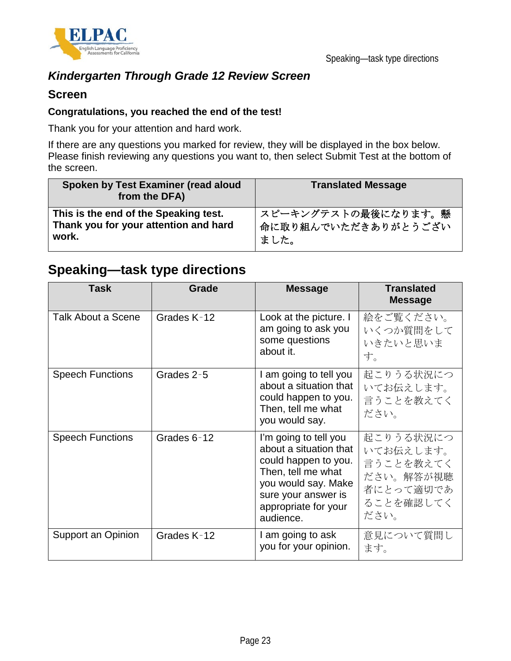

## *Kindergarten Through Grade 12 Review Screen*

### **Screen**

#### **Congratulations, you reached the end of the test!**

Thank you for your attention and hard work.

If there are any questions you marked for review, they will be displayed in the box below. Please finish reviewing any questions you want to, then select Submit Test at the bottom of the screen.

| Spoken by Test Examiner (read aloud<br>from the DFA) | <b>Translated Message</b> |
|------------------------------------------------------|---------------------------|
| This is the end of the Speaking test.                | スピーキングテストの最後になります。懸       |
| Thank you for your attention and hard                | 命に取り組んでいただきありがとうござい       |
| work.                                                | ました。                      |

# **Speaking—task type directions**

| Task                      | Grade       | <b>Message</b>                                                                                                                                                                   | <b>Translated</b><br><b>Message</b>                                                |
|---------------------------|-------------|----------------------------------------------------------------------------------------------------------------------------------------------------------------------------------|------------------------------------------------------------------------------------|
| <b>Talk About a Scene</b> | Grades K-12 | Look at the picture. I<br>am going to ask you<br>some questions<br>about it.                                                                                                     | 絵をご覧ください。<br>いくつか質問をして<br>いきたいと思いま<br>す。                                           |
| <b>Speech Functions</b>   | Grades 2-5  | I am going to tell you<br>about a situation that<br>could happen to you.<br>Then, tell me what<br>you would say.                                                                 | 起こりうる状況につ<br>いてお伝えします。<br>言うことを教えてく<br>ださい。                                        |
| <b>Speech Functions</b>   | Grades 6-12 | I'm going to tell you<br>about a situation that<br>could happen to you.<br>Then, tell me what<br>you would say. Make<br>sure your answer is<br>appropriate for your<br>audience. | 起こりうる状況につ<br>いてお伝えします。<br>言うことを教えてく<br>ださい。解答が視聴<br>者にとって適切であ<br>ることを確認してく<br>ださい。 |
| Support an Opinion        | Grades K-12 | I am going to ask<br>you for your opinion.                                                                                                                                       | 意見について質問し<br>ます。                                                                   |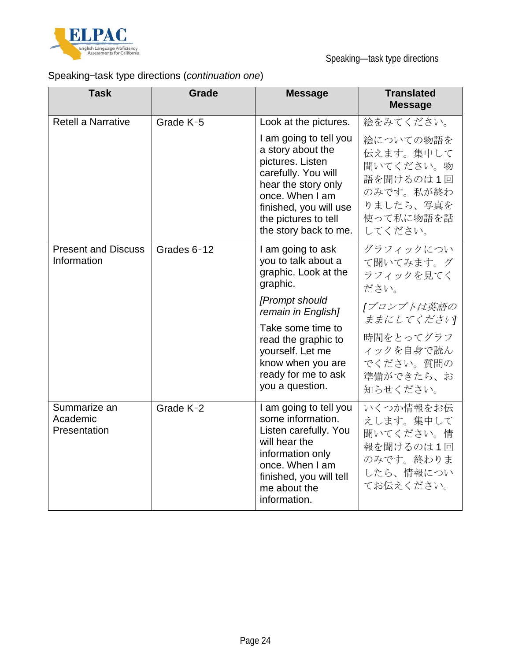

# Speaking—task type directions (*continuation one*)

| <b>Task</b>                               | Grade       | <b>Message</b>                                                                                                                                                                                                                                      | <b>Translated</b><br><b>Message</b>                                                                                                    |
|-------------------------------------------|-------------|-----------------------------------------------------------------------------------------------------------------------------------------------------------------------------------------------------------------------------------------------------|----------------------------------------------------------------------------------------------------------------------------------------|
| <b>Retell a Narrative</b>                 | Grade K-5   | Look at the pictures.                                                                                                                                                                                                                               | 絵をみてください。                                                                                                                              |
|                                           |             | I am going to tell you<br>a story about the<br>pictures. Listen<br>carefully. You will<br>hear the story only<br>once. When I am<br>finished, you will use<br>the pictures to tell<br>the story back to me.                                         | 絵についての物語を<br>伝えます。集中して<br>聞いてください。物<br>語を聞けるのは1回<br>のみです。私が終わ<br>りましたら、写真を<br>使って私に物語を話<br>してください。                                     |
| <b>Present and Discuss</b><br>Information | Grades 6-12 | I am going to ask<br>you to talk about a<br>graphic. Look at the<br>graphic.<br>[Prompt should<br>remain in English]<br>Take some time to<br>read the graphic to<br>yourself. Let me<br>know when you are<br>ready for me to ask<br>you a question. | グラフィックについ<br>て聞いてみます。グ<br>ラフィックを見てく<br>ださい。<br>[プロンプトは英語の<br>ままにしてください<br>時間をとってグラフ<br>ィックを自身で読ん<br>でください。質問の<br>準備ができたら、お<br>知らせください。 |
| Summarize an<br>Academic<br>Presentation  | Grade K-2   | I am going to tell you<br>some information.<br>Listen carefully. You<br>will hear the<br>information only<br>once. When I am<br>finished, you will tell<br>me about the<br>information.                                                             | いくつか情報をお伝<br>えします。集中して<br>聞いてください。情<br>報を聞けるのは1回<br>のみです。終わりま<br>したら、情報につい<br>てお伝えください。                                                |